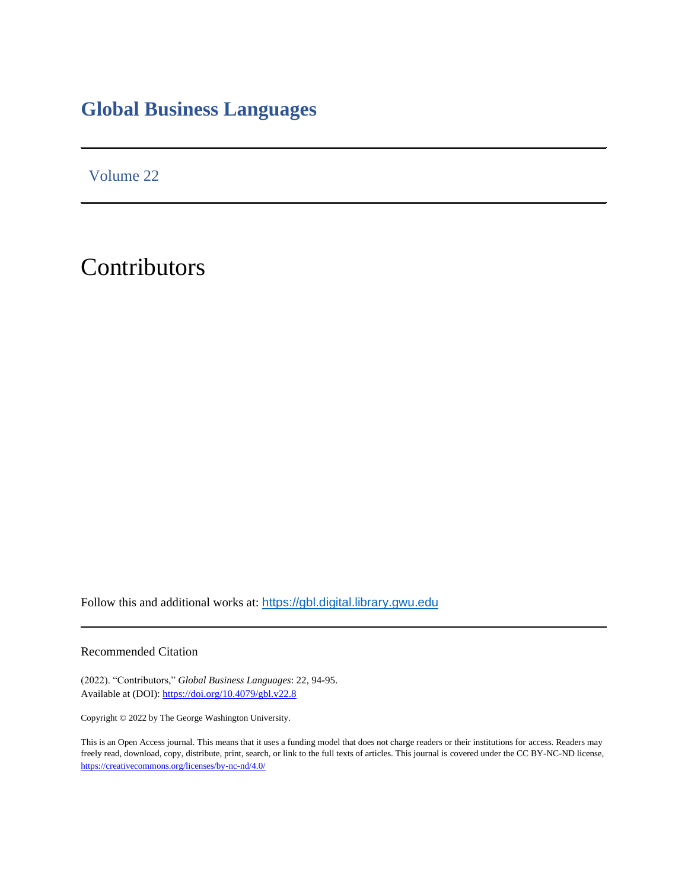# **Global Business Languages**

Volume 22

Contributors

Follow this and additional works at: [https://gbl.digital.library.gwu.edu](https://gbl.digital.library.gwu.edu/)

Recommended Citation

(2022). "Contributors," *Global Business Languages*: 22, 94-95. Available at (DOI)[: https://doi.org/10.4079/gbl.v22.8](https://www.doi.org/%2010.4079/gbl.v22.8)

Copyright © 2022 by The George Washington University.

This is an Open Access journal. This means that it uses a funding model that does not charge readers or their institutions for access. Readers may freely read, download, copy, distribute, print, search, or link to the full texts of articles. This journal is covered under the CC BY-NC-ND license, <https://creativecommons.org/licenses/by-nc-nd/4.0/>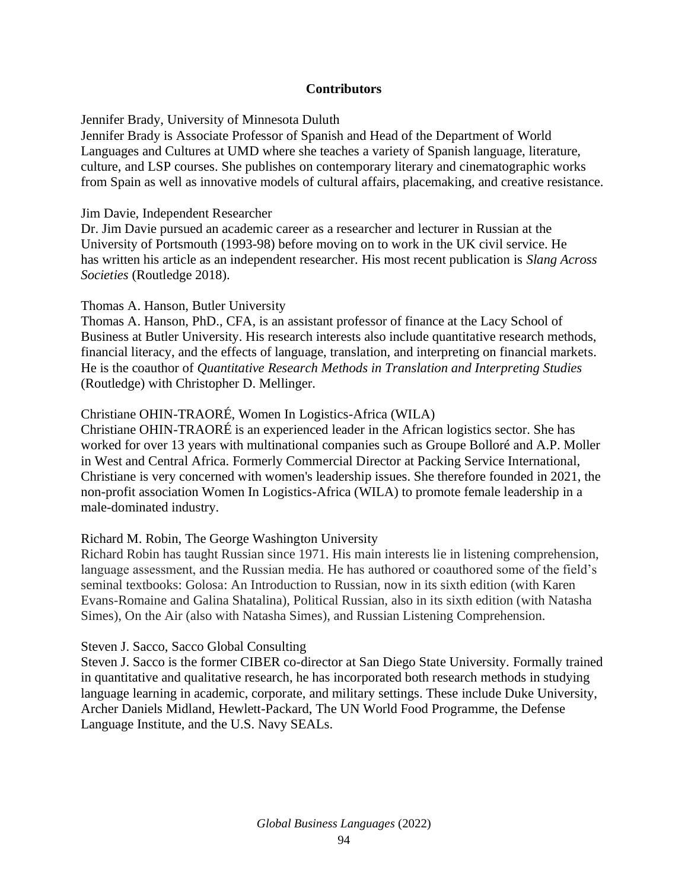# **Contributors**

Jennifer Brady, University of Minnesota Duluth

Jennifer Brady is Associate Professor of Spanish and Head of the Department of World Languages and Cultures at UMD where she teaches a variety of Spanish language, literature, culture, and LSP courses. She publishes on contemporary literary and cinematographic works from Spain as well as innovative models of cultural affairs, placemaking, and creative resistance.

Jim Davie, Independent Researcher

Dr. Jim Davie pursued an academic career as a researcher and lecturer in Russian at the University of Portsmouth (1993-98) before moving on to work in the UK civil service. He has written his article as an independent researcher. His most recent publication is *Slang Across Societies* (Routledge 2018).

Thomas A. Hanson, Butler University

Thomas A. Hanson, PhD., CFA, is an assistant professor of finance at the Lacy School of Business at Butler University. His research interests also include quantitative research methods, financial literacy, and the effects of language, translation, and interpreting on financial markets. He is the coauthor of *Quantitative Research Methods in Translation and Interpreting Studies* (Routledge) with Christopher D. Mellinger.

# Christiane OHIN-TRAORÉ, Women In Logistics-Africa (WILA)

Christiane OHIN-TRAORÉ is an experienced leader in the African logistics sector. She has worked for over 13 years with multinational companies such as Groupe Bolloré and A.P. Moller in West and Central Africa. Formerly Commercial Director at Packing Service International, Christiane is very concerned with women's leadership issues. She therefore founded in 2021, the non-profit association Women In Logistics-Africa (WILA) to promote female leadership in a male-dominated industry.

## Richard M. Robin, The George Washington University

Richard Robin has taught Russian since 1971. His main interests lie in listening comprehension, language assessment, and the Russian media. He has authored or coauthored some of the field's seminal textbooks: Golosa: An Introduction to Russian, now in its sixth edition (with Karen Evans-Romaine and Galina Shatalina), Political Russian, also in its sixth edition (with Natasha Simes), On the Air (also with Natasha Simes), and Russian Listening Comprehension.

## Steven J. Sacco, Sacco Global Consulting

Steven J. Sacco is the former CIBER co-director at San Diego State University. Formally trained in quantitative and qualitative research, he has incorporated both research methods in studying language learning in academic, corporate, and military settings. These include Duke University, Archer Daniels Midland, Hewlett-Packard, The UN World Food Programme, the Defense Language Institute, and the U.S. Navy SEALs.